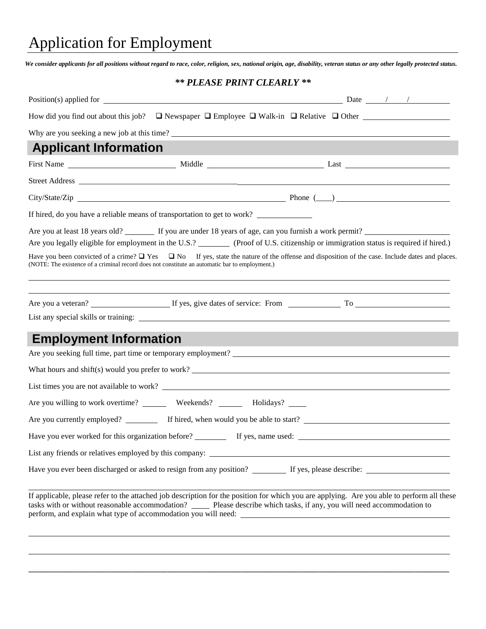# Application for Employment

*We consider applicants for all positions without regard to race, color, religion, sex, national origin, age, disability, veteran status or any other legally protected status.*

### *\*\* PLEASE PRINT CLEARLY \*\**

| How did you find out about this job? $\Box$ Newspaper $\Box$ Employee $\Box$ Walk-in $\Box$ Relative $\Box$ Other                                                                                                                                                                                                                                                                                                                                                                            |  |  |
|----------------------------------------------------------------------------------------------------------------------------------------------------------------------------------------------------------------------------------------------------------------------------------------------------------------------------------------------------------------------------------------------------------------------------------------------------------------------------------------------|--|--|
| Why are you seeking a new job at this time?                                                                                                                                                                                                                                                                                                                                                                                                                                                  |  |  |
| <b>Applicant Information</b>                                                                                                                                                                                                                                                                                                                                                                                                                                                                 |  |  |
|                                                                                                                                                                                                                                                                                                                                                                                                                                                                                              |  |  |
|                                                                                                                                                                                                                                                                                                                                                                                                                                                                                              |  |  |
|                                                                                                                                                                                                                                                                                                                                                                                                                                                                                              |  |  |
| If hired, do you have a reliable means of transportation to get to work?                                                                                                                                                                                                                                                                                                                                                                                                                     |  |  |
| Are you at least 18 years old? If you are under 18 years of age, can you furnish a work permit?<br>Are you legally eligible for employment in the U.S.? (Proof of U.S. citizenship or immigration status is required if hired.)<br>Have you been convicted of a crime? $\Box$ Yes $\Box$ No If yes, state the nature of the offense and disposition of the case. Include dates and places.<br>(NOTE: The existence of a criminal record does not constitute an automatic bar to employment.) |  |  |
|                                                                                                                                                                                                                                                                                                                                                                                                                                                                                              |  |  |
| <b>Employment Information</b>                                                                                                                                                                                                                                                                                                                                                                                                                                                                |  |  |
| Are you seeking full time, part time or temporary employment?                                                                                                                                                                                                                                                                                                                                                                                                                                |  |  |
| What hours and shift(s) would you prefer to work?                                                                                                                                                                                                                                                                                                                                                                                                                                            |  |  |
| List times you are not available to work?                                                                                                                                                                                                                                                                                                                                                                                                                                                    |  |  |
| Are you willing to work overtime? _________ Weekends? ________ Holidays? ______                                                                                                                                                                                                                                                                                                                                                                                                              |  |  |
|                                                                                                                                                                                                                                                                                                                                                                                                                                                                                              |  |  |
|                                                                                                                                                                                                                                                                                                                                                                                                                                                                                              |  |  |
| List any friends or relatives employed by this company:                                                                                                                                                                                                                                                                                                                                                                                                                                      |  |  |
|                                                                                                                                                                                                                                                                                                                                                                                                                                                                                              |  |  |
| If applicable, please refer to the attached job description for the position for which you are applying. Are you able to perform all these<br>tasks with or without reasonable accommodation? _____ Please describe which tasks, if any, you will need accommodation to<br>perform, and explain what type of accommodation you will need:                                                                                                                                                    |  |  |
|                                                                                                                                                                                                                                                                                                                                                                                                                                                                                              |  |  |

**\_\_\_\_\_\_\_\_\_\_\_\_\_\_\_\_\_\_\_\_\_\_\_\_\_\_\_\_\_\_\_\_\_\_\_\_\_\_\_\_\_\_\_\_\_\_\_\_\_\_\_\_\_\_\_\_\_\_\_\_\_\_\_\_\_\_\_\_\_\_\_\_\_\_\_\_\_\_\_\_\_\_\_\_\_\_\_\_\_\_\_\_\_\_\_\_\_\_\_\_\_\_\_\_\_\_**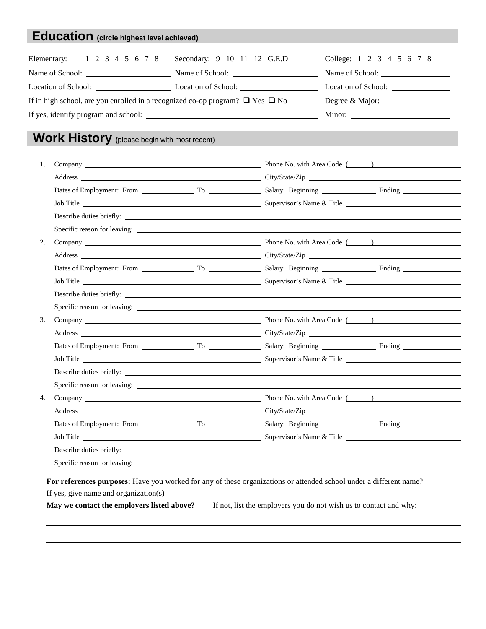## **Education (circle highest level achieved)**

| Elementary: 1 2 3 4 5 6 7 8 Secondary: 9 10 11 12 G.E.D                                 |                     | College: 1 2 3 4 5 6 7 8 |
|-----------------------------------------------------------------------------------------|---------------------|--------------------------|
| Name of School:                                                                         | Name of School:     | Name of School:          |
|                                                                                         | Location of School: | Location of School:      |
| If in high school, are you enrolled in a recognized co-op program? $\Box$ Yes $\Box$ No |                     | Degree & Major:          |
|                                                                                         | Minor:              |                          |
|                                                                                         |                     |                          |

### **Work History (**please begin with most recent)

| 1. |  |  |  |  |  |
|----|--|--|--|--|--|
|    |  |  |  |  |  |
|    |  |  |  |  |  |
|    |  |  |  |  |  |
|    |  |  |  |  |  |
|    |  |  |  |  |  |
| 2. |  |  |  |  |  |
|    |  |  |  |  |  |
|    |  |  |  |  |  |
|    |  |  |  |  |  |
|    |  |  |  |  |  |
|    |  |  |  |  |  |
| 3. |  |  |  |  |  |
|    |  |  |  |  |  |
|    |  |  |  |  |  |
|    |  |  |  |  |  |
|    |  |  |  |  |  |
| 4. |  |  |  |  |  |
|    |  |  |  |  |  |
|    |  |  |  |  |  |
|    |  |  |  |  |  |
|    |  |  |  |  |  |
|    |  |  |  |  |  |

**May we contact the employers listed above?\_\_\_** If not, list the employers you do not wish us to contact and why: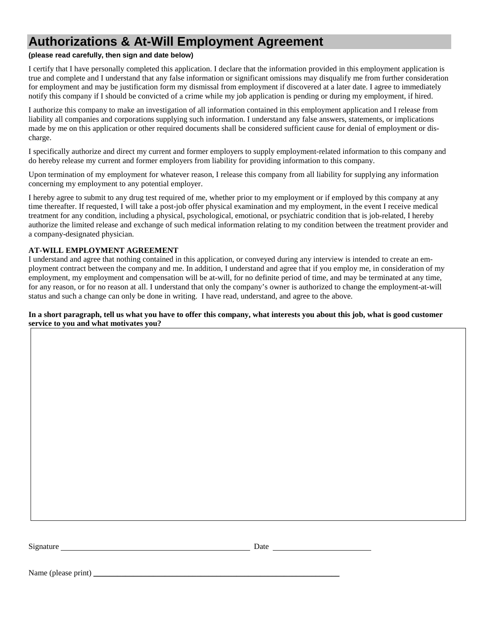### **Authorizations & At-Will Employment Agreement**

#### **(please read carefully, then sign and date below)**

I certify that I have personally completed this application. I declare that the information provided in this employment application is true and complete and I understand that any false information or significant omissions may disqualify me from further consideration for employment and may be justification form my dismissal from employment if discovered at a later date. I agree to immediately notify this company if I should be convicted of a crime while my job application is pending or during my employment, if hired.

I authorize this company to make an investigation of all information contained in this employment application and I release from liability all companies and corporations supplying such information. I understand any false answers, statements, or implications made by me on this application or other required documents shall be considered sufficient cause for denial of employment or discharge.

I specifically authorize and direct my current and former employers to supply employment-related information to this company and do hereby release my current and former employers from liability for providing information to this company.

Upon termination of my employment for whatever reason, I release this company from all liability for supplying any information concerning my employment to any potential employer.

I hereby agree to submit to any drug test required of me, whether prior to my employment or if employed by this company at any time thereafter. If requested, I will take a post-job offer physical examination and my employment, in the event I receive medical treatment for any condition, including a physical, psychological, emotional, or psychiatric condition that is job-related, I hereby authorize the limited release and exchange of such medical information relating to my condition between the treatment provider and a company-designated physician.

#### **AT-WILL EMPLOYMENT AGREEMENT**

I understand and agree that nothing contained in this application, or conveyed during any interview is intended to create an employment contract between the company and me. In addition, I understand and agree that if you employ me, in consideration of my employment, my employment and compensation will be at-will, for no definite period of time, and may be terminated at any time, for any reason, or for no reason at all. I understand that only the company's owner is authorized to change the employment-at-will status and such a change can only be done in writing. I have read, understand, and agree to the above.

#### **In a short paragraph, tell us what you have to offer this company, what interests you about this job, what is good customer service to you and what motivates you?**

Signature **Date** Date **Date** 

Name (please print) \_\_\_\_\_\_\_\_\_\_\_\_\_\_\_\_\_\_\_\_\_\_\_\_\_\_\_\_\_\_\_\_\_\_\_\_\_\_\_\_\_\_\_\_\_\_\_\_\_\_\_\_\_\_\_\_\_\_\_\_\_\_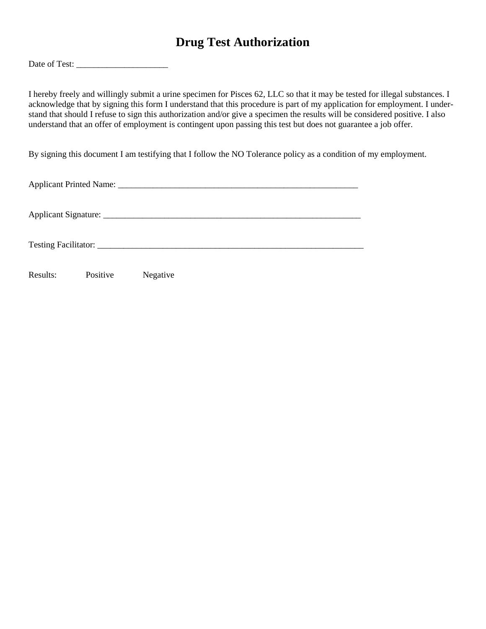### **Drug Test Authorization**

Date of Test: \_\_\_\_\_\_\_\_\_\_\_\_\_\_\_\_\_\_\_\_\_

I hereby freely and willingly submit a urine specimen for Pisces 62, LLC so that it may be tested for illegal substances. I acknowledge that by signing this form I understand that this procedure is part of my application for employment. I understand that should I refuse to sign this authorization and/or give a specimen the results will be considered positive. I also understand that an offer of employment is contingent upon passing this test but does not guarantee a job offer.

By signing this document I am testifying that I follow the NO Tolerance policy as a condition of my employment.

| Results: | Positive | Negative |  |  |
|----------|----------|----------|--|--|